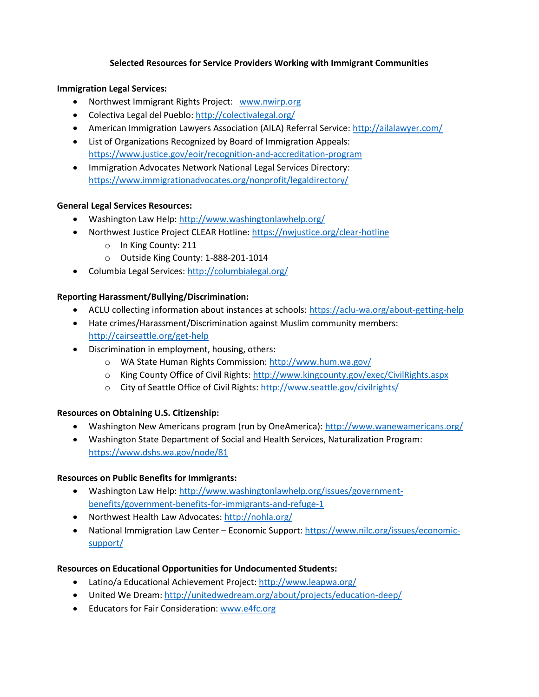## **Selected Resources for Service Providers Working with Immigrant Communities**

## **Immigration Legal Services:**

- Northwest Immigrant Rights Project: [www.nwirp.org](http://www.nwirp.org/)
- Colectiva Legal del Pueblo:<http://colectivalegal.org/>
- American Immigration Lawyers Association (AILA) Referral Service[: http://ailalawyer.com/](http://ailalawyer.com/)
- List of Organizations Recognized by Board of Immigration Appeals: <https://www.justice.gov/eoir/recognition-and-accreditation-program>
- Immigration Advocates Network National Legal Services Directory: <https://www.immigrationadvocates.org/nonprofit/legaldirectory/>

## **General Legal Services Resources:**

- Washington Law Help[: http://www.washingtonlawhelp.org/](http://www.washingtonlawhelp.org/)
- Northwest Justice Project CLEAR Hotline:<https://nwjustice.org/clear-hotline>
	- o In King County: 211
	- o Outside King County: 1-888-201-1014
- Columbia Legal Services:<http://columbialegal.org/>

## **Reporting Harassment/Bullying/Discrimination:**

- ACLU collecting information about instances at schools:<https://aclu-wa.org/about-getting-help>
- Hate crimes/Harassment/Discrimination against Muslim community members: <http://cairseattle.org/get-help>
- Discrimination in employment, housing, others:
	- o WA State Human Rights Commission:<http://www.hum.wa.gov/>
	- o King County Office of Civil Rights:<http://www.kingcounty.gov/exec/CivilRights.aspx>
	- o City of Seattle Office of Civil Rights:<http://www.seattle.gov/civilrights/>

# **Resources on Obtaining U.S. Citizenship:**

- Washington New Americans program (run by OneAmerica):<http://www.wanewamericans.org/>
- Washington State Department of Social and Health Services, Naturalization Program: <https://www.dshs.wa.gov/node/81>

#### **Resources on Public Benefits for Immigrants:**

- Washington Law Help[: http://www.washingtonlawhelp.org/issues/government](http://www.washingtonlawhelp.org/issues/government-benefits/government-benefits-for-immigrants-and-refuge-1)[benefits/government-benefits-for-immigrants-and-refuge-1](http://www.washingtonlawhelp.org/issues/government-benefits/government-benefits-for-immigrants-and-refuge-1)
- Northwest Health Law Advocates:<http://nohla.org/>
- National Immigration Law Center Economic Support: [https://www.nilc.org/issues/economic](https://www.nilc.org/issues/economic-support/)[support/](https://www.nilc.org/issues/economic-support/)

# **Resources on Educational Opportunities for Undocumented Students:**

- Latino/a Educational Achievement Project:<http://www.leapwa.org/>
- United We Dream:<http://unitedwedream.org/about/projects/education-deep/>
- Educators for Fair Consideration: [www.e4fc.org](http://www.e4fc.org/)